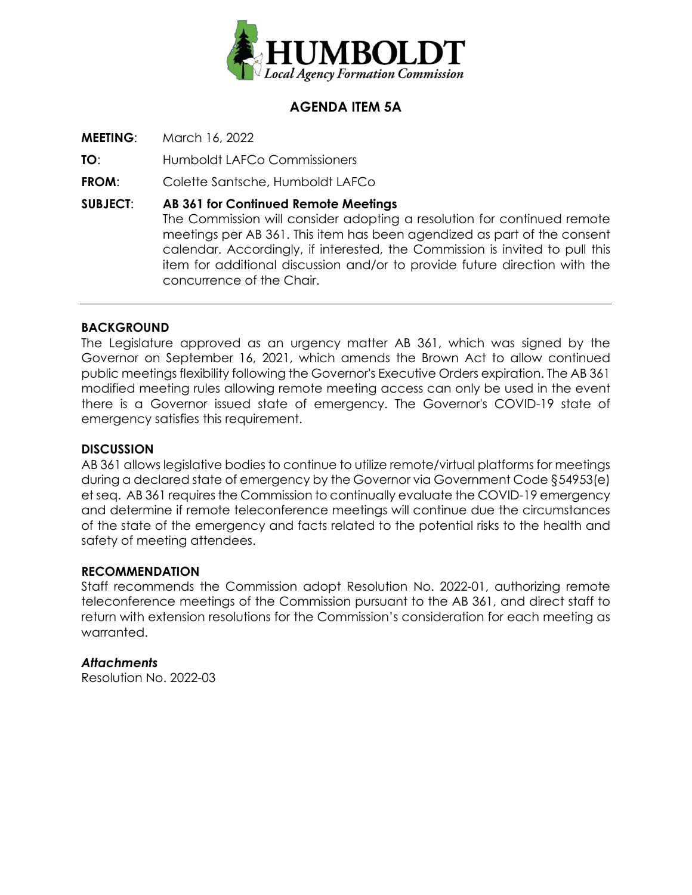

## **AGENDA ITEM 5A**

**MEETING**: March 16, 2022

**TO**: Humboldt LAFCo Commissioners

**FROM**: Colette Santsche, Humboldt LAFCo

**SUBJECT**: **AB 361 for Continued Remote Meetings** The Commission will consider adopting a resolution for continued remote meetings per AB 361. This item has been agendized as part of the consent calendar. Accordingly, if interested, the Commission is invited to pull this item for additional discussion and/or to provide future direction with the concurrence of the Chair.

### **BACKGROUND**

The Legislature approved as an urgency matter AB 361, which was signed by the Governor on September 16, 2021, which amends the Brown Act to allow continued public meetings flexibility following the Governor's Executive Orders expiration. The AB 361 modified meeting rules allowing remote meeting access can only be used in the event there is a Governor issued state of emergency. The Governor's COVID-19 state of emergency satisfies this requirement.

#### **DISCUSSION**

AB 361 allows legislative bodies to continue to utilize remote/virtual platforms for meetings during a declared state of emergency by the Governor via Government Code §54953(e) et seq. AB 361 requires the Commission to continually evaluate the COVID-19 emergency and determine if remote teleconference meetings will continue due the circumstances of the state of the emergency and facts related to the potential risks to the health and safety of meeting attendees.

#### **RECOMMENDATION**

Staff recommends the Commission adopt Resolution No. 2022-01, authorizing remote teleconference meetings of the Commission pursuant to the AB 361, and direct staff to return with extension resolutions for the Commission's consideration for each meeting as warranted.

#### *Attachments*

Resolution No. 2022-03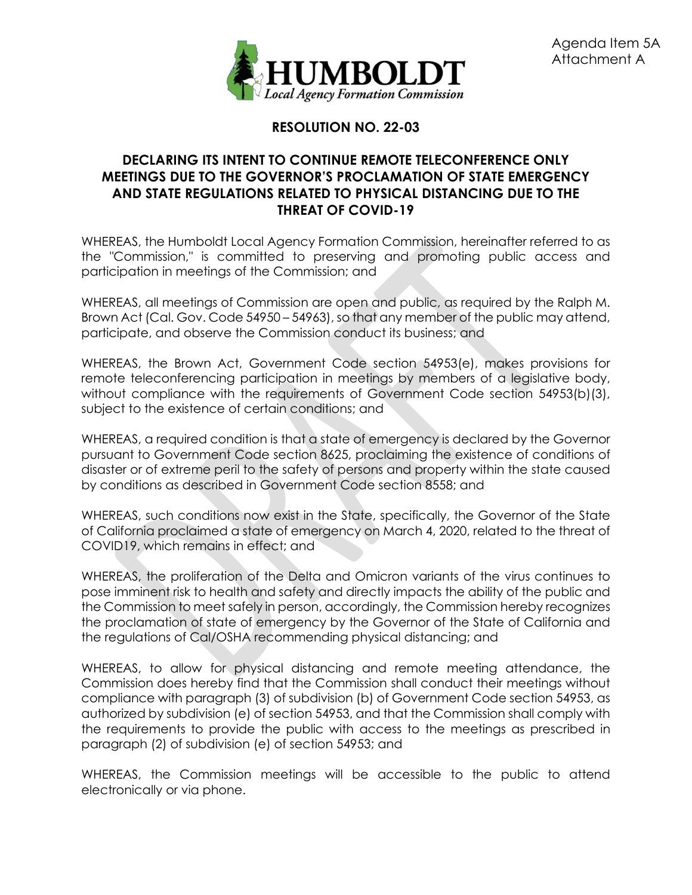

# **RESOLUTION NO. 22-03**

### **DECLARING ITS INTENT TO CONTINUE REMOTE TELECONFERENCE ONLY MEETINGS DUE TO THE GOVERNOR'S PROCLAMATION OF STATE EMERGENCY AND STATE REGULATIONS RELATED TO PHYSICAL DISTANCING DUE TO THE THREAT OF COVID-19**

WHEREAS, the Humboldt Local Agency Formation Commission, hereinafter referred to as the "Commission," is committed to preserving and promoting public access and participation in meetings of the Commission; and

WHEREAS, all meetings of Commission are open and public, as required by the Ralph M. Brown Act (Cal. Gov. Code 54950 – 54963), so that any member of the public may attend, participate, and observe the Commission conduct its business; and

WHEREAS, the Brown Act, Government Code section 54953(e), makes provisions for remote teleconferencing participation in meetings by members of a legislative body, without compliance with the requirements of Government Code section 54953(b)(3), subject to the existence of certain conditions; and

WHEREAS, a required condition is that a state of emergency is declared by the Governor pursuant to Government Code section 8625, proclaiming the existence of conditions of disaster or of extreme peril to the safety of persons and property within the state caused by conditions as described in Government Code section 8558; and

WHEREAS, such conditions now exist in the State, specifically, the Governor of the State of California proclaimed a state of emergency on March 4, 2020, related to the threat of COVID19, which remains in effect; and

WHEREAS, the proliferation of the Delta and Omicron variants of the virus continues to pose imminent risk to health and safety and directly impacts the ability of the public and the Commission to meet safely in person, accordingly, the Commission hereby recognizes the proclamation of state of emergency by the Governor of the State of California and the regulations of Cal/OSHA recommending physical distancing; and

WHEREAS, to allow for physical distancing and remote meeting attendance, the Commission does hereby find that the Commission shall conduct their meetings without compliance with paragraph (3) of subdivision (b) of Government Code section 54953, as authorized by subdivision (e) of section 54953, and that the Commission shall comply with the requirements to provide the public with access to the meetings as prescribed in paragraph (2) of subdivision (e) of section 54953; and

WHEREAS, the Commission meetings will be accessible to the public to attend electronically or via phone.